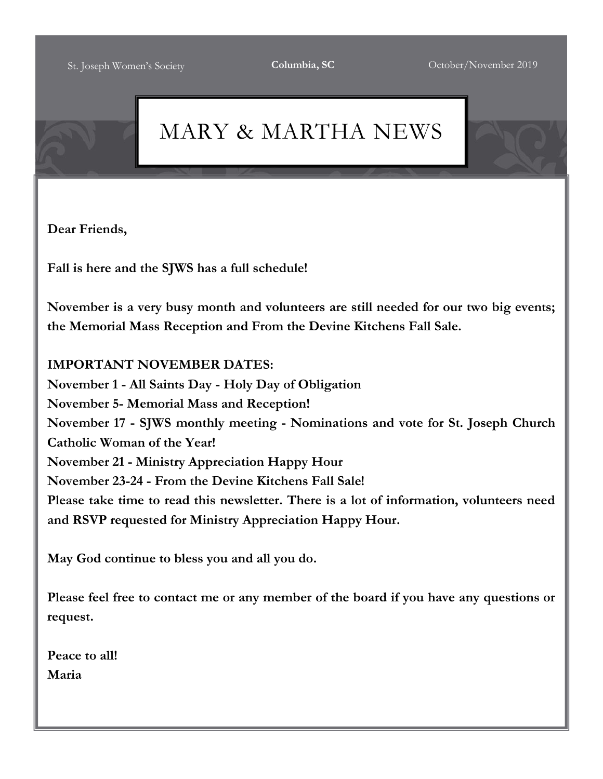# MARY & MARTHA NEWS

**Dear Friends,**

**Fall is here and the SJWS has a full schedule!**

**November is a very busy month and volunteers are still needed for our two big events; the Memorial Mass Reception and From the Devine Kitchens Fall Sale.**

## **IMPORTANT NOVEMBER DATES:**

**November 1 - All Saints Day - Holy Day of Obligation November 5- Memorial Mass and Reception! November 17 - SJWS monthly meeting - Nominations and vote for St. Joseph Church Catholic Woman of the Year! November 21 - Ministry Appreciation Happy Hour November 23-24 - From the Devine Kitchens Fall Sale! Please take time to read this newsletter. There is a lot of information, volunteers need and RSVP requested for Ministry Appreciation Happy Hour.**

**May God continue to bless you and all you do.**

**Please feel free to contact me or any member of the board if you have any questions or request.**

**Peace to all! Maria**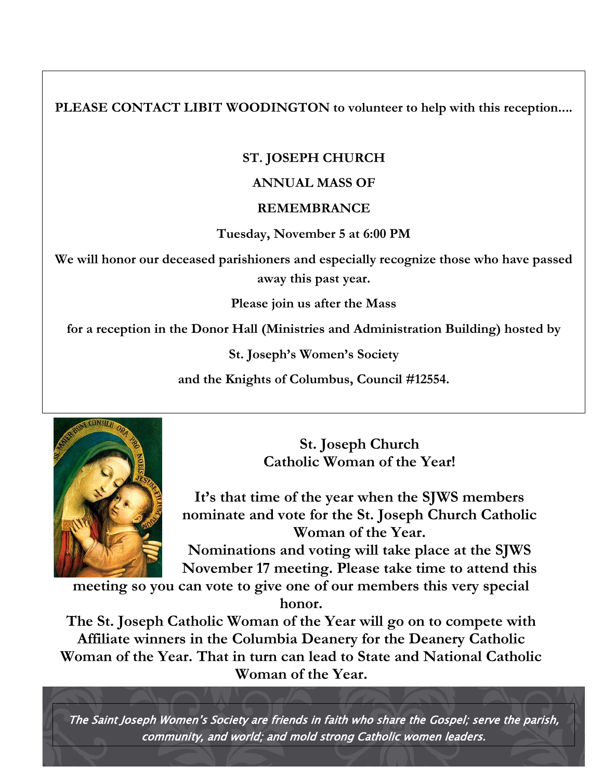**PLEASE CONTACT LIBIT WOODINGTON to volunteer to help with this reception....**

## **ST. JOSEPH CHURCH**

### **ANNUAL MASS OF**

#### **REMEMBRANCE**

**Tuesday, November 5 at 6:00 PM**

**We will honor our deceased parishioners and especially recognize those who have passed away this past year.**

**Please join us after the Mass**

**for a reception in the Donor Hall (Ministries and Administration Building) hosted by**

**St. Joseph's Women's Society**

**and the Knights of Columbus, Council #12554.**



**St. Joseph Church Catholic Woman of the Year!**

**It's that time of the year when the SJWS members nominate and vote for the St. Joseph Church Catholic Woman of the Year.**

**Nominations and voting will take place at the SJWS November 17 meeting. Please take time to attend this** 

**meeting so you can vote to give one of our members this very special honor.**

**The St. Joseph Catholic Woman of the Year will go on to compete with Affiliate winners in the Columbia Deanery for the Deanery Catholic Woman of the Year. That in turn can lead to State and National Catholic Woman of the Year.**

The Saint Joseph Women's Society are friends in faith who share the Gospel; serve the parish, community, and world; and mold strong Catholic women leaders.